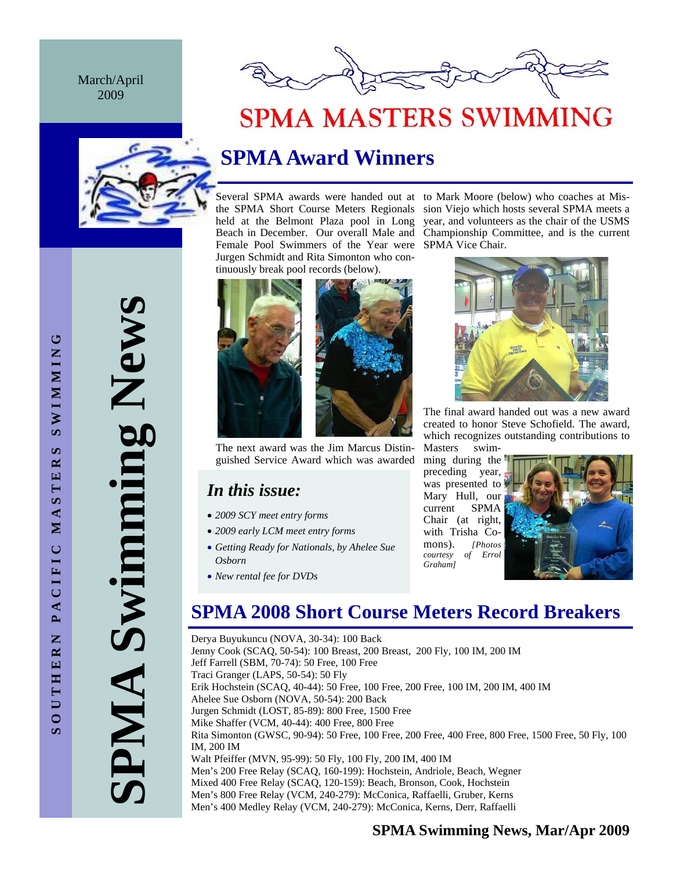March/April 2009



# **SPMA MASTERS SWIMMING**



## **SPMA Award Winners**

Female Pool Swimmers of the Year were SPMA Vice Chair. Jurgen Schmidt and Rita Simonton who continuously break pool records (below).





The next award was the Jim Marcus Distinguished Service Award which was awarded

## *In this issue:*

- *2009 SCY meet entry forms*
- *2009 early LCM meet entry forms*
- *Getting Ready for Nationals, by Ahelee Sue Osborn*
- *New rental fee for DVDs*





The final award handed out was a new award created to honor Steve Schofield. The award, which recognizes outstanding contributions to Masters swim-

ming during the preceding year, was presented to Mary Hull, our current SPMA Chair (at right, with Trisha Comons). *[Photos*   $coursev$  of *Graham]*



## **SPMA 2008 Short Course Meters Record Breakers**

Derya Buyukuncu (NOVA, 30-34): 100 Back Jenny Cook (SCAQ, 50-54): 100 Breast, 200 Breast, 200 Fly, 100 IM, 200 IM Jeff Farrell (SBM, 70-74): 50 Free, 100 Free Traci Granger (LAPS, 50-54): 50 Fly Erik Hochstein (SCAQ, 40-44): 50 Free, 100 Free, 200 Free, 100 IM, 200 IM, 400 IM Ahelee Sue Osborn (NOVA, 50-54): 200 Back Jurgen Schmidt (LOST, 85-89): 800 Free, 1500 Free Mike Shaffer (VCM, 40-44): 400 Free, 800 Free Rita Simonton (GWSC, 90-94): 50 Free, 100 Free, 200 Free, 400 Free, 800 Free, 1500 Free, 50 Fly, 100 IM, 200 IM Walt Pfeiffer (MVN, 95-99): 50 Fly, 100 Fly, 200 IM, 400 IM Men's 200 Free Relay (SCAQ, 160-199): Hochstein, Andriole, Beach, Wegner Mixed 400 Free Relay (SCAQ, 120-159): Beach, Bronson, Cook, Hochstein Men's 800 Free Relay (VCM, 240-279): McConica, Raffaelli, Gruber, Kerns Men's 400 Medley Relay (VCM, 240-279): McConica, Kerns, Derr, Raffaelli

**SPMA Swimming News**  PMA Swimming New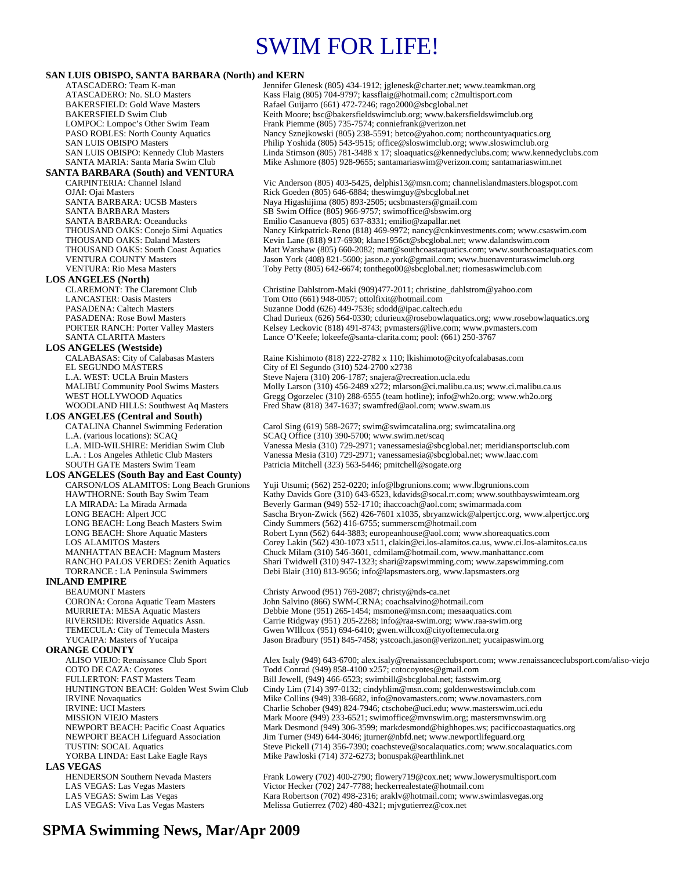# SWIM FOR LIFE!

#### **SAN LUIS OBISPO, SANTA BARBARA (North) and KERN**

ATASCADERO: Team K-man Jennifer Glenesk (805) 434-1912; jglenesk @charter.net; www.teamkman.org<br>ATASCADERO: No. SLO Masters Kass Flaig (805) 704-9797; kassflaig @hotmail.com; c2multisport.com ATASCADERO: No. SLO Masters Kass Flaig (805) 704-9797; kassflaig@hotmail.com; c2multisport.com<br>BAKERSFIELD: Gold Wave Masters Rafael Guijarro (661) 472-7246; rago2000@sbcglobal.net BAKERSFIELD: Gold Wave Masters Rafael Guijarro (661) 472-7246; rago2000@sbcglobal.net<br>BAKERSFIELD Swim Club Reith Moore: bsc@bakersfieldswimclub.org: www.bakers Keith Moore; bsc@bakersfieldswimclub.org; www.bakersfieldswimclub.org LOMPOC: Lompoc's Other Swim Team Frank Piemme (805) 735-7574; conniefrank @verizon.net<br>PASO ROBLES: North County Aquatics Nancy Sznejkowski (805) 238-5591; betco@yahoo.com; r PASO ROBLES: North County Aquatics Nancy Sznejkowski (805) 238-5591; betco@yahoo.com; northcountyaquatics.org<br>Philip Yoshida (805) 543-9515; office@sloswimclub.org: www.sloswimclub.org Philip Yoshida (805) 543-9515; office@sloswimclub.org; www.sloswimclub.org SAN LUIS OBISPO: Kennedy Club Masters Linda Stimson (805) 781-3488 x 17; sloaquatics@kennedyclubs.com; www.kennedyclubs.com SANTA MARIA: Santa Maria Swim Club Mike Ashmore (805) 928-9655; santamariaswim@verizon.com; santamariaswim.net **SANTA BARBARA (South) and VENTURA**  CARPINTERIA: Channel Island Vic Anderson (805) 403-5425, delphis13@msn.com; channelislandmasters.blogspot.com<br>OJAI: Ojai Masters Channel Island Rick Goeden (805) 646-6884; theswimguy@sbcglobal.net SANTA BARBARA: UCSB Masters Naya Higashijima (805) 893-2505; ucsbmasters@gmail.com<br>SANTA BARBARA Masters SB Swim Office (805) 966-9757; swimoffice@sbswim.org SANTA BARBARA Masters SB Swim Office (805) 966-9757; swimoffice@sbswim.org<br>SANTA BARBARA: Oceanducks Emilio Casanueva (805) 637-8331: emilio@zapallar.net THOUSAND OAKS: Conejo Simi Aquatics Nancy Kirkpatrick-Reno (818) 469-9972; nancy@cnkinvestments.com; www.csaswim.com<br>THOUSAND OAKS: Daland Masters Kevin Lane (818) 917-6930; klane1956ct@sbcglobal.net; www.dalandswim.com THOUSAND OAKS: Daland Masters Kevin Lane (818) 917-6930; klane1956ct@sbcglobal.net; www.dalandswim.com<br>THOUSAND OAKS: South Coast Aquatics Matt Warshaw (805) 660-2082; matt@southcoastaquatics.com; www.southcoasta THOUSAND OAKS: South Coast Aquatics Matt Warshaw (805) 660-2082; matt@southcoastaquatics.com; www.southcoastaquatics.com<br>VENTURA COUNTY Masters Jason York (408) 821-5600; jason.e.vork@gmail.com; www.buenaventuraswimclub.or VENTURA: Rio Mesa Masters Toby Petty (805) 642-6674; tonthego00@sbcglobal.net; riomesaswimclub.com **LOS ANGELES (North)**  CLAREMONT: The Claremont Club Christine Dahlstrom-Maki (909)477-2011; christine\_dahlstrom@yahoo.com<br>CANCASTER: Oasis Masters Tom Otto (661) 948-0057; ottolfixit@hotmail.com PASADENA: Caltech Masters Suzanne Dodd (626) 449-7536; sdodd@ipac.caltech.edu<br>PASADENA: Rose Bowl Masters Chad Durieux (626) 564-0330; cdurieux @rosebowlaquat PASADENA: Rose Bowl Masters Chad Durieux (626) 564-0330; cdurieux@rosebowlaquatics.org; www.rosebowlaquatics.org<br>PORTER RANCH: Porter Valley Masters Kelsey Leckovic (818) 491-8743; pymasters@live.com; www.pymasters.com PORTER RANCH: Porter Valley Masters Kelsey Leckovic (818) 491-8743; pvmasters@live.com; www.pvmasters.com<br>SANTA CLARITA Masters Lance O'Keefe; lokeefe@santa-clarita.com; pool: (661) 250-3767 **LOS ANGELES (Westside)** EL SEGUNDO MÁSTERS<br>
L.A. WEST: UCLA Bruin Masters Steve Najera (310) 206-1787; snajera@rec L.A. WEST: UCLA Bruin Masters Steve Najera (310) 206-1787; snajera@recreation.ucla.edu<br>MALIBU Community Pool Swims Masters Molly Larson (310) 456-2489 x272; mlarson@ci.malibu.ca WEST HOLLYWOOD Aquatics Gregg Ogorzelec (310) 288-6555 (team hotline); info@wh2o.org; www.wh2o.org<br>WOODLAND HILLS: Southwest Aq Masters Fred Shaw (818) 347-1637; swamfred@aol.com; www.swam.us **LOS ANGELES (Central and South)**  CATALINA Channel Swimming Federation Carol Sing (619) 588-2677; swim@swimcatalina.org; swimcatalina.org<br>L.A. (various locations): SCAQ SCAQ Office (310) 390-5700; www.swim.net/scaq L.A. (various locations): SCAQ Vermetary and SCAQ Office (310) 390-5700; www.swim.net/scaq L.A. MID-WILSHIRE: Meridian Swim Club Vanessa Mesia (310) 729-2971; vanessamesia@sbc L.A. MID-WILSHIRE: Meridian Swim Club Vanessa Mesia (310) 729-2971; vanessamesia@sbcglobal.net; meridiansportsclub.com SOUTH GATE Masters Swim Team Patricia Mitchell (323) 563-5446; pmitchell@sogate.org **LOS ANGELES (South Bay and East County)**  HAWTHORNE: South Bay Swim Team Kathy Davids Gore (310) 643-6523, kdavids@socal.rr.com; www.southbayswimteam.org<br>LA MIRADA: La Mirada Armada Com Beverly Garman (949) 552-1710; ihaccoach@aol.com; swimarmada.com LA MIRADA: La Mirada Armada <br>LONG BEACH: Alpert JCC **Belling Belling Beverly Garman** (949) 552-1710; ihaccoach@aol.com; swimarmada.com<br>Sascha Bryon-Zwick (562) 426-7601 x1035, sbryanzwick@alperticc.org, LONG BEACH: Alpert JCC Sascha Bryon-Zwick (562) 426-7601 x1035, sbryanzwick@alpertjcc.org, www.alpertjcc.org<br>LONG BEACH: Long Beach Masters Swim Cindy Summers (562) 416-6755; summerscm@hotmail.com LONG BEACH: Long Beach Masters Swim Cindy Summers (562) 416-6755; summerscm@hotmail.com<br>LONG BEACH: Shore Aquatic Masters Robert Lynn (562) 644-3883; europeanhouse@aol.com; www LONG BEACH: Shore Aquatic Masters Robert Lynn (562) 644-3883; europeanhouse@aol.com; www.shoreaquatics.com<br>
LOS ALAMITOS Masters Corey Lakin (562) 430-1073 x511, clakin@ci.los-alamitos.ca.us, www.ci.los-alan MANHATTAN BEACH: Magnum Masters Chuck Milam (310) 546-3601, cdmilam@hotmail.com, www.manhattancc.com RANCHO PALOS VERDES: Zenith Aquatics Shari Twidwell (310) 947-1323; shari@zapswimming.com; www.zapswimming.com<br>TORRANCE : LA Peninsula Swimmers Debi Blair (310) 813-9656; info@lapsmasters.org, www.lapsmasters.org **INLAND EMPIRE**  BEAUMONT Masters Christy Arwood (951) 769-2087; christy @nds-ca.net<br>CORONA: Corona Aquatic Team Masters John Salvino (866) SWM-CRNA; coachsalvino@hot MURRIETA: MESA Aquatic Masters **Debbie Mone (951) 265-1454; msmone@msn.com**; mesaaquatics.com<br>RIVERSIDE: Riverside Aquatics Assn. Carrie Ridgway (951) 205-2268; info@raa-swim.org; www.raa-swim.o TEMECULA: City of Temecula Masters Gwen WIllcox (951) 694-6410; gwen.willcox@cityoftemecula.org YUCAIPA: Masters of Yucaipa Jason Bradbury (951) 845-7458; ystcoach.jason@verizon.net; yucaipaswim.org **ORANGE COUNTY**  COTO DE CAZA: Coyotes <br>
FULLERTON: FAST Masters Team 
Hill Jewell. (949) 466-6523: swimbill@sbcglobal.net: fastswi HUNTINGTON BEACH: Golden West Swim Club Cindy Lim (714) 397-0132; cindyhlim@msn.com; goldenwestswimclub.com IRVINE Novaquatics Mike Collins (949) 338-6682, info@novamasters.com; www.novamasters.com<br>IRVINE: UCI Masters Charlie Schober (949) 824-7946; ctschobe@uci.edu; www.masterswim.uci.edu MISSION VIEJO Masters Mark Moore (949) 233-6521; swimoffice@mvnswim.org; mastersmvnswim.org NEWPORT BEACH: Pacific Coast Aquatics Mark Desmond (949) 306-3599; markdesmond@highhopes.ws; pacificcoastaquatics.org<br>NEWPORT BEACH Lifeguard Association Jim Turner (949) 644-3046; jturner@nbfd.net; www.newportlifeguard.or TUSTIN: SOCAL Aquatics Steve Pickell (714) 356-7390; coachsteve@socalaquatics.com; www.socalaquatics.com YORBA LINDA: East Lake Eagle Rays Mike Pawloski (714) 372-6273; bonuspak@earthlink.net **LAS VEGAS**  HENDERSON Southern Nevada Masters Frank Lowery (702) 400-2790; flowery 719@cox.net; www.lowerysmultisport.com<br>
LAS VEGAS: Las Vegas Masters Victor Hecker (702) 247-7788; heckerrealestate@hotmail.com LAS VEGAS: Swim Las Vegas Kara Robertson (702) 498-2316; araklv@hotmail.com; www.swimlasvegas.org

Rick Goeden (805) 646-6884; theswimguy@sbcglobal.net Emilio Casanueva (805) 637-8331; emilio@zapallar.net Jason York (408) 821-5600; jason.e.york@gmail.com; www.buenaventuraswimclub.org

Tom Otto (661) 948-0057; ottolfixit@hotmail.com Lance O'Keefe; lokeefe@santa-clarita.com; pool: (661) 250-3767

Raine Kishimoto (818) 222-2782 x 110; lkishimoto@cityofcalabasas.com Molly Larson (310) 456-2489 x272; mlarson@ci.malibu.ca.us; www.ci.malibu.ca.us Fred Shaw (818) 347-1637; swamfred@aol.com; www.swam.us

Vanessa Mesia (310) 729-2971; vanessamesia@sbcglobal.net; www.laac.com

Yuji Utsumi; (562) 252-0220; info@lbgrunions.com; www.lbgrunions.com Corey Lakin (562) 430-1073 x511, clakin @ci.los-alamitos.ca.us, www.ci.los-alamitos.ca.us Debi Blair (310) 813-9656; info@lapsmasters.org, www.lapsmasters.org

John Salvino (866) SWM-CRNA; coachsalvino@hotmail.com Carrie Ridgway (951) 205-2268; info@raa-swim.org; www.raa-swim.org

ALISO VIEJO: Renaissance Club Sport Alex Isaly (949) 643-6700; alex.isaly@renaissanceclubsport.com; www.renaissanceclubsport.com/aliso-viejo<br>COTO DE CAZA: Coyotes Covers Todd Conrad (949) 858-4100 x257; cotocoyotes@gmail.c Bill Jewell, (949) 466-6523; swimbill@sbcglobal.net; fastswim.org Charlie Schober (949) 824-7946; ctschobe@uci.edu; www.masterswim.uci.edu Jim Turner (949) 644-3046; jturner@nbfd.net; www.newportlifeguard.org

Victor Hecker (702) 247-7788; heckerrealestate@hotmail.com LAS VEGAS: Viva Las Vegas Masters Melissa Gutierrez (702) 480-4321; mjvgutierrez@cox.net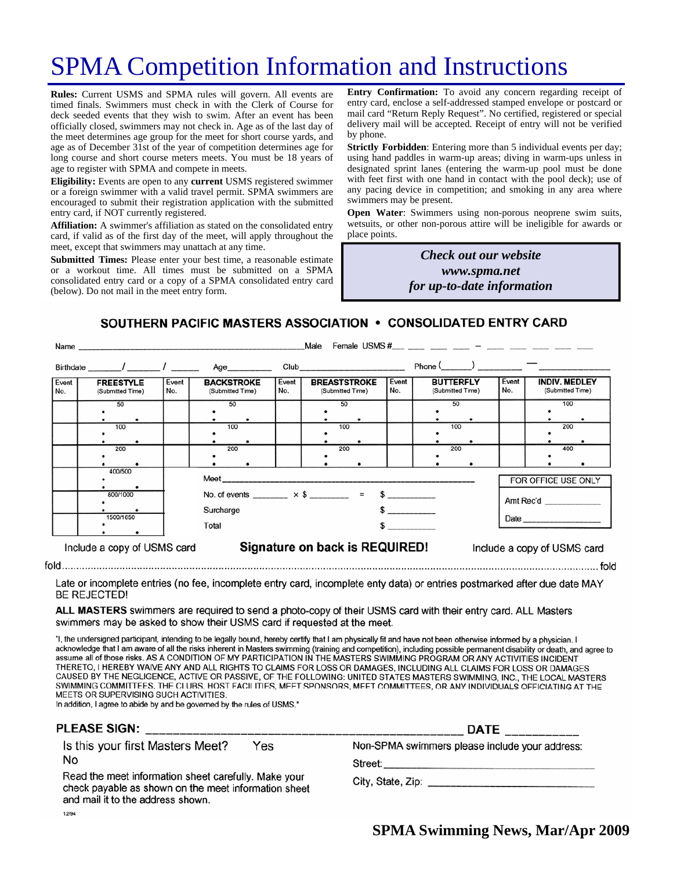# SPMA Competition Information and Instructions

**Rules:** Current USMS and SPMA rules will govern. All events are timed finals. Swimmers must check in with the Clerk of Course for deck seeded events that they wish to swim. After an event has been officially closed, swimmers may not check in. Age as of the last day of the meet determines age group for the meet for short course yards, and age as of December 31st of the year of competition determines age for long course and short course meters meets. You must be 18 years of age to register with SPMA and compete in meets.

**Eligibility:** Events are open to any **current** USMS registered swimmer or a foreign swimmer with a valid travel permit. SPMA swimmers are encouraged to submit their registration application with the submitted entry card, if NOT currently registered.

**Affiliation:** A swimmer's affiliation as stated on the consolidated entry card, if valid as of the first day of the meet, will apply throughout the meet, except that swimmers may unattach at any time.

**Submitted Times:** Please enter your best time, a reasonable estimate or a workout time. All times must be submitted on a SPMA consolidated entry card or a copy of a SPMA consolidated entry card (below). Do not mail in the meet entry form.

**Entry Confirmation:** To avoid any concern regarding receipt of entry card, enclose a self-addressed stamped envelope or postcard or mail card "Return Reply Request". No certified, registered or special delivery mail will be accepted. Receipt of entry will not be verified by phone.

**Strictly Forbidden**: Entering more than 5 individual events per day; using hand paddles in warm-up areas; diving in warm-ups unless in designated sprint lanes (entering the warm-up pool must be done with feet first with one hand in contact with the pool deck); use of any pacing device in competition; and smoking in any area where swimmers may be present.

**Open Water**: Swimmers using non-porous neoprene swim suits, wetsuits, or other non-porous attire will be ineligible for awards or place points.

> *Check out our website www.spma.net for up-to-date information*

SOUTHERN PACIFIC MASTERS ASSOCIATION • CONSOLIDATED ENTRY CARD

|                                  | Name                                                 |                                                                                                      |                                       |              | Male                                    |  |              | Female USMS $\#$ $-$                 |                                  |              |                                          |            |
|----------------------------------|------------------------------------------------------|------------------------------------------------------------------------------------------------------|---------------------------------------|--------------|-----------------------------------------|--|--------------|--------------------------------------|----------------------------------|--------------|------------------------------------------|------------|
|                                  | Birthdate _______/ ________/ ________                |                                                                                                      | Age_________                          |              | Club ____________________________       |  |              | $Phone ($ $)$ $-$                    |                                  |              |                                          |            |
| Event<br>No.                     | <b>FREESTYLE</b><br>Event<br>No.<br>(Submitted Time) |                                                                                                      | <b>BACKSTROKE</b><br>(Submitted Time) | Event<br>No. | <b>BREASTSTROKE</b><br>(Submitted Time) |  | Event<br>No. | <b>BUTTERFLY</b><br>(Submitted Time) |                                  | Event<br>No. | <b>INDIV. MEDLEY</b><br>(Submitted Time) |            |
|                                  | 50<br>100                                            |                                                                                                      | 50<br>100                             |              | 50<br>100                               |  |              | 50<br>100                            |                                  |              |                                          | 100<br>200 |
|                                  | 200                                                  |                                                                                                      | 200                                   |              | 200                                     |  |              | 200                                  |                                  |              |                                          | 400        |
| 400/500<br>800/1000<br>1500/1650 |                                                      | No. of events ________ $\times$ \$ ________ = \$ _________<br>Surcharge<br>$\sim$<br>Total<br>$\sim$ |                                       |              |                                         |  |              |                                      | FOR OFFICE USE ONLY<br>Amt Rec'd |              |                                          |            |
|                                  | Include a copy of USMS card                          |                                                                                                      | Signature on back is REQUIRED!        |              |                                         |  |              |                                      | Include a copy of USMS card      |              |                                          |            |

Late or incomplete entries (no fee, incomplete entry card, incomplete enty data) or entries postmarked after due date MAY **BE REJECTED!** 

ALL MASTERS swimmers are required to send a photo-copy of their USMS card with their entry card. ALL Masters swimmers may be asked to show their USMS card if requested at the meet.

"I, the undersigned participant, intending to be legally bound, hereby certify that I am physically fit and have not been otherwise informed by a physician. I acknowledge that I am aware of all the risks inherent in Masters swimming (training and competition), including possible permanent disability or death, and agree to assume all of those risks. AS A CONDITION OF MY PARTICIPATION IN THE MASTERS SWIMMING PROGRAM OR ANY ACTIVITIES INCIDENT THERETO, I HEREBY WAIVE ANY AND ALL RIGHTS TO CLAIMS FOR LOSS OR DAMAGES, INCLUDING ALL CLAIMS FOR LOSS OR DAMAGES CAUSED BY THE NEGLIGENCE, ACTIVE OR PASSIVE, OF THE FOLLOWING: UNITED STATES MASTERS SWIMMING, INC., THE LOCAL MASTERS SWIMMING COMMITTEES, THE CLUBS, HOST FACILITIES, MEET SPONSORS, MEET COMMITTEES, OR ANY INDIVIDUALS OFFICIATING AT THE MEETS OR SUPERVISING SUCH ACTIVITIES.

In addition, I agree to abide by and be governed by the rules of USMS."

### PLEASE SIGN:

Is this your first Masters Meet? Yes No

Read the meet information sheet carefully. Make your check payable as shown on the meet information sheet and mail it to the address shown. 12/94

|                                                | DATE ____________ |  |
|------------------------------------------------|-------------------|--|
| Non-SPMA swimmers please include your address: |                   |  |

Street:

City, State, Zip: Electric Article Article Article Article Article Article Article Article Article Article Article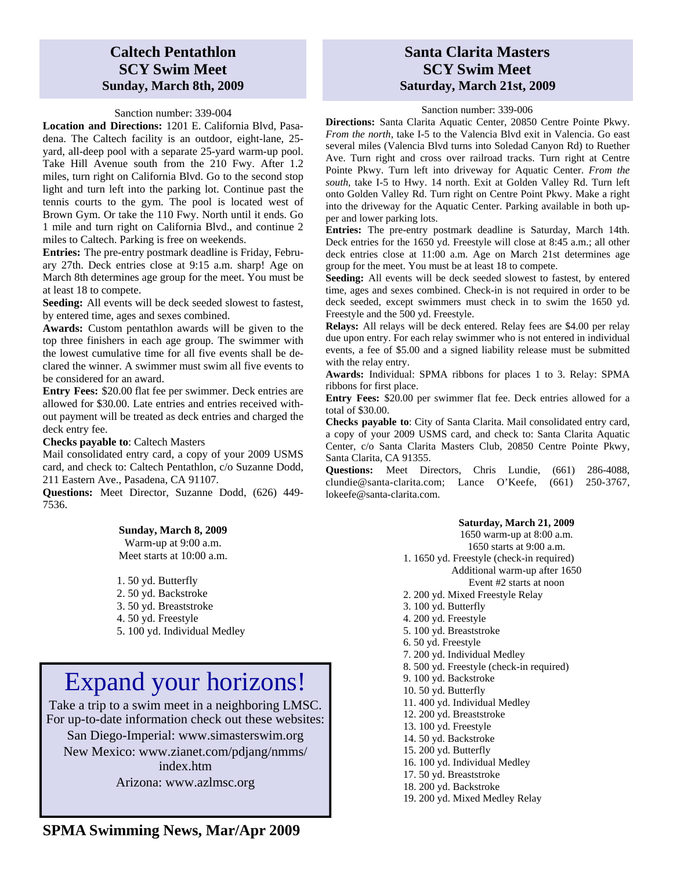## **Caltech Pentathlon SCY Swim Meet Sunday, March 8th, 2009**

#### Sanction number: 339-004

**Location and Directions:** 1201 E. California Blvd, Pasadena. The Caltech facility is an outdoor, eight-lane, 25 yard, all-deep pool with a separate 25-yard warm-up pool. Take Hill Avenue south from the 210 Fwy. After 1.2 miles, turn right on California Blvd. Go to the second stop light and turn left into the parking lot. Continue past the tennis courts to the gym. The pool is located west of Brown Gym. Or take the 110 Fwy. North until it ends. Go 1 mile and turn right on California Blvd., and continue 2 miles to Caltech. Parking is free on weekends.

**Entries:** The pre-entry postmark deadline is Friday, February 27th. Deck entries close at 9:15 a.m. sharp! Age on March 8th determines age group for the meet. You must be at least 18 to compete.

**Seeding:** All events will be deck seeded slowest to fastest, by entered time, ages and sexes combined.

**Awards:** Custom pentathlon awards will be given to the top three finishers in each age group. The swimmer with the lowest cumulative time for all five events shall be declared the winner. A swimmer must swim all five events to be considered for an award.

**Entry Fees:** \$20.00 flat fee per swimmer. Deck entries are allowed for \$30.00. Late entries and entries received without payment will be treated as deck entries and charged the deck entry fee.

#### **Checks payable to**: Caltech Masters

Mail consolidated entry card, a copy of your 2009 USMS card, and check to: Caltech Pentathlon, c/o Suzanne Dodd, 211 Eastern Ave., Pasadena, CA 91107.

**Questions:** Meet Director, Suzanne Dodd, (626) 449- 7536.

#### **Sunday, March 8, 2009**

Warm-up at 9:00 a.m. Meet starts at 10:00 a.m.

1. 50 yd. Butterfly

- 2. 50 yd. Backstroke
- 3. 50 yd. Breaststroke
- 4. 50 yd. Freestyle
- 5. 100 yd. Individual Medley

# Expand your horizons!

Take a trip to a swim meet in a neighboring LMSC. For up-to-date information check out these websites:

San Diego-Imperial: www.simasterswim.org New Mexico: www.zianet.com/pdjang/nmms/ index.htm Arizona: www.azlmsc.org

## **Santa Clarita Masters SCY Swim Meet Saturday, March 21st, 2009**

#### Sanction number: 339-006

**Directions:** Santa Clarita Aquatic Center, 20850 Centre Pointe Pkwy. *From the north*, take I-5 to the Valencia Blvd exit in Valencia. Go east several miles (Valencia Blvd turns into Soledad Canyon Rd) to Ruether Ave. Turn right and cross over railroad tracks. Turn right at Centre Pointe Pkwy. Turn left into driveway for Aquatic Center. *From the south*, take I-5 to Hwy. 14 north. Exit at Golden Valley Rd. Turn left onto Golden Valley Rd. Turn right on Centre Point Pkwy. Make a right into the driveway for the Aquatic Center. Parking available in both upper and lower parking lots.

**Entries:** The pre-entry postmark deadline is Saturday, March 14th. Deck entries for the 1650 yd. Freestyle will close at 8:45 a.m.; all other deck entries close at 11:00 a.m. Age on March 21st determines age group for the meet. You must be at least 18 to compete.

**Seeding:** All events will be deck seeded slowest to fastest, by entered time, ages and sexes combined. Check-in is not required in order to be deck seeded, except swimmers must check in to swim the 1650 yd. Freestyle and the 500 yd. Freestyle.

**Relays:** All relays will be deck entered. Relay fees are \$4.00 per relay due upon entry. For each relay swimmer who is not entered in individual events, a fee of \$5.00 and a signed liability release must be submitted with the relay entry.

**Awards:** Individual: SPMA ribbons for places 1 to 3. Relay: SPMA ribbons for first place.

**Entry Fees:** \$20.00 per swimmer flat fee. Deck entries allowed for a total of \$30.00.

**Checks payable to**: City of Santa Clarita. Mail consolidated entry card, a copy of your 2009 USMS card, and check to: Santa Clarita Aquatic Center, c/o Santa Clarita Masters Club, 20850 Centre Pointe Pkwy, Santa Clarita, CA 91355.

**Questions:** Meet Directors, Chris Lundie, (661) 286-4088, clundie@santa-clarita.com; Lance O'Keefe, (661) 250-3767, lokeefe@santa-clarita.com.

#### **Saturday, March 21, 2009**

1650 warm-up at 8:00 a.m. 1650 starts at 9:00 a.m. 1. 1650 yd. Freestyle (check-in required) Additional warm-up after 1650 Event #2 starts at noon 2. 200 yd. Mixed Freestyle Relay 3. 100 yd. Butterfly 4. 200 yd. Freestyle 5. 100 yd. Breaststroke 6. 50 yd. Freestyle 7. 200 yd. Individual Medley 8. 500 yd. Freestyle (check-in required) 9. 100 yd. Backstroke 10. 50 yd. Butterfly 11. 400 yd. Individual Medley 12. 200 yd. Breaststroke 13. 100 yd. Freestyle 14. 50 yd. Backstroke 15. 200 yd. Butterfly 16. 100 yd. Individual Medley 17. 50 yd. Breaststroke 18. 200 yd. Backstroke 19. 200 yd. Mixed Medley Relay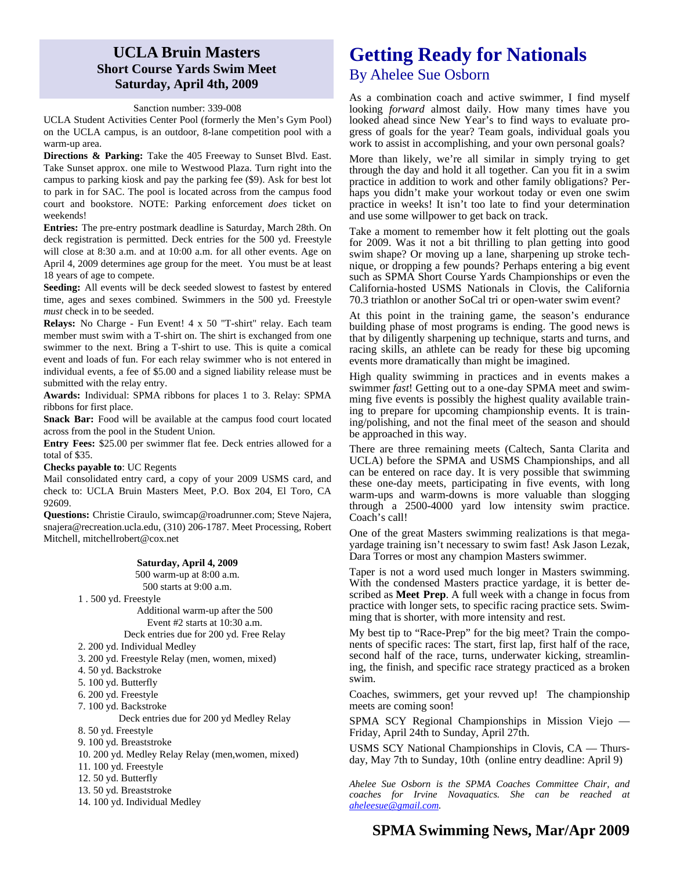### **UCLA Bruin Masters Short Course Yards Swim Meet Saturday, April 4th, 2009**

#### Sanction number: 339-008

UCLA Student Activities Center Pool (formerly the Men's Gym Pool) on the UCLA campus, is an outdoor, 8-lane competition pool with a warm-up area.

**Directions & Parking:** Take the 405 Freeway to Sunset Blvd. East. Take Sunset approx. one mile to Westwood Plaza. Turn right into the campus to parking kiosk and pay the parking fee (\$9). Ask for best lot to park in for SAC. The pool is located across from the campus food court and bookstore. NOTE: Parking enforcement *does* ticket on weekends!

**Entries:** The pre-entry postmark deadline is Saturday, March 28th. On deck registration is permitted. Deck entries for the 500 yd. Freestyle will close at 8:30 a.m. and at 10:00 a.m. for all other events. Age on April 4, 2009 determines age group for the meet. You must be at least 18 years of age to compete.

**Seeding:** All events will be deck seeded slowest to fastest by entered time, ages and sexes combined. Swimmers in the 500 yd. Freestyle *must* check in to be seeded.

**Relays:** No Charge - Fun Event! 4 x 50 "T-shirt" relay. Each team member must swim with a T-shirt on. The shirt is exchanged from one swimmer to the next. Bring a T-shirt to use. This is quite a comical event and loads of fun. For each relay swimmer who is not entered in individual events, a fee of \$5.00 and a signed liability release must be submitted with the relay entry.

**Awards:** Individual: SPMA ribbons for places 1 to 3. Relay: SPMA ribbons for first place.

**Snack Bar:** Food will be available at the campus food court located across from the pool in the Student Union.

**Entry Fees:** \$25.00 per swimmer flat fee. Deck entries allowed for a total of \$35.

**Checks payable to**: UC Regents

Mail consolidated entry card, a copy of your 2009 USMS card, and check to: UCLA Bruin Masters Meet, P.O. Box 204, El Toro, CA 92609.

**Questions:** Christie Ciraulo, swimcap@roadrunner.com; Steve Najera, snajera@recreation.ucla.edu, (310) 206-1787. Meet Processing, Robert Mitchell, mitchellrobert@cox.net

## **Saturday, April 4, 2009**

500 warm-up at 8:00 a.m. 500 starts at 9:00 a.m.

1 . 500 yd. Freestyle

Additional warm-up after the 500 Event #2 starts at 10:30 a.m.

Deck entries due for 200 yd. Free Relay

2. 200 yd. Individual Medley

- 3. 200 yd. Freestyle Relay (men, women, mixed)
- 4. 50 yd. Backstroke

5. 100 yd. Butterfly

- 6. 200 yd. Freestyle
- 7. 100 yd. Backstroke

Deck entries due for 200 yd Medley Relay

8. 50 yd. Freestyle

9. 100 yd. Breaststroke

10. 200 yd. Medley Relay Relay (men,women, mixed)

- 11. 100 yd. Freestyle
- 12. 50 yd. Butterfly
- 13. 50 yd. Breaststroke
- 14. 100 yd. Individual Medley

# **Getting Ready for Nationals**

## By Ahelee Sue Osborn

As a combination coach and active swimmer, I find myself looking *forward* almost daily. How many times have you looked ahead since New Year's to find ways to evaluate progress of goals for the year? Team goals, individual goals you work to assist in accomplishing, and your own personal goals?

More than likely, we're all similar in simply trying to get through the day and hold it all together. Can you fit in a swim practice in addition to work and other family obligations? Perhaps you didn't make your workout today or even one swim practice in weeks! It isn't too late to find your determination and use some willpower to get back on track.

Take a moment to remember how it felt plotting out the goals for 2009. Was it not a bit thrilling to plan getting into good swim shape? Or moving up a lane, sharpening up stroke technique, or dropping a few pounds? Perhaps entering a big event such as SPMA Short Course Yards Championships or even the California-hosted USMS Nationals in Clovis, the California 70.3 triathlon or another SoCal tri or open-water swim event?

At this point in the training game, the season's endurance building phase of most programs is ending. The good news is that by diligently sharpening up technique, starts and turns, and racing skills, an athlete can be ready for these big upcoming events more dramatically than might be imagined.

High quality swimming in practices and in events makes a swimmer *fast*! Getting out to a one-day SPMA meet and swimming five events is possibly the highest quality available training to prepare for upcoming championship events. It is training/polishing, and not the final meet of the season and should be approached in this way.

There are three remaining meets (Caltech, Santa Clarita and UCLA) before the SPMA and USMS Championships, and all can be entered on race day. It is very possible that swimming these one-day meets, participating in five events, with long warm-ups and warm-downs is more valuable than slogging through a 2500-4000 yard low intensity swim practice. Coach's call!

One of the great Masters swimming realizations is that megayardage training isn't necessary to swim fast! Ask Jason Lezak, Dara Torres or most any champion Masters swimmer.

Taper is not a word used much longer in Masters swimming. With the condensed Masters practice yardage, it is better described as **Meet Prep**. A full week with a change in focus from practice with longer sets, to specific racing practice sets. Swimming that is shorter, with more intensity and rest.

My best tip to "Race-Prep" for the big meet? Train the components of specific races: The start, first lap, first half of the race, second half of the race, turns, underwater kicking, streamlining, the finish, and specific race strategy practiced as a broken swim.

Coaches, swimmers, get your revved up! The championship meets are coming soon!

SPMA SCY Regional Championships in Mission Viejo — Friday, April 24th to Sunday, April 27th.

USMS SCY National Championships in Clovis, CA — Thursday, May 7th to Sunday, 10th (online entry deadline: April 9)

*Ahelee Sue Osborn is the SPMA Coaches Committee Chair, and coaches for Irvine Novaquatics. She can be reached at aheleesue@gmail.com.*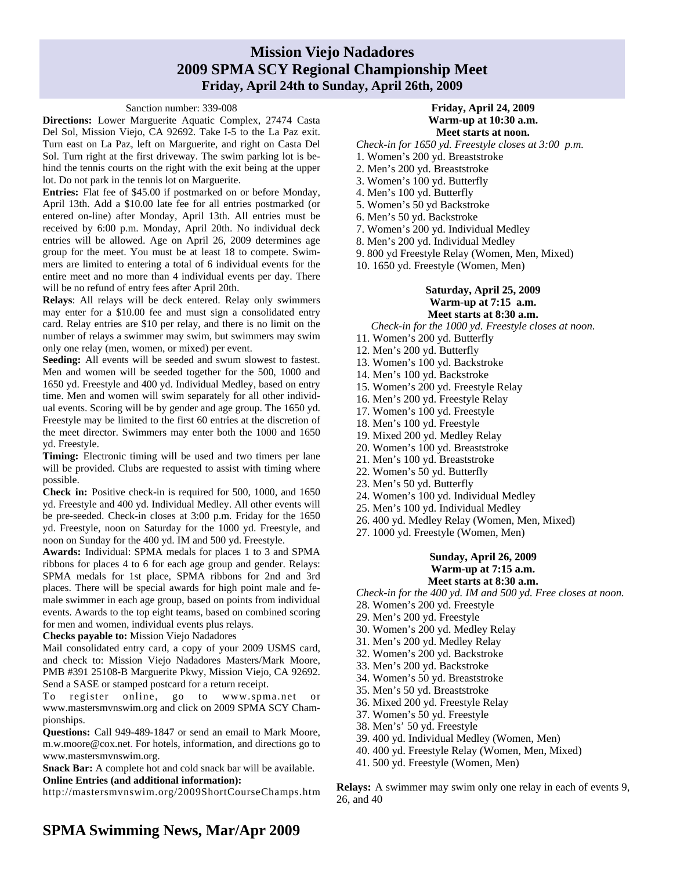## **Mission Viejo Nadadores 2009 SPMA SCY Regional Championship Meet Friday, April 24th to Sunday, April 26th, 2009**

#### Sanction number: 339-008

**Directions:** Lower Marguerite Aquatic Complex, 27474 Casta Del Sol, Mission Viejo, CA 92692. Take I-5 to the La Paz exit. Turn east on La Paz, left on Marguerite, and right on Casta Del Sol. Turn right at the first driveway. The swim parking lot is behind the tennis courts on the right with the exit being at the upper lot. Do not park in the tennis lot on Marguerite.

**Entries:** Flat fee of \$45.00 if postmarked on or before Monday, April 13th. Add a \$10.00 late fee for all entries postmarked (or entered on-line) after Monday, April 13th. All entries must be received by 6:00 p.m. Monday, April 20th. No individual deck entries will be allowed. Age on April 26, 2009 determines age group for the meet. You must be at least 18 to compete. Swimmers are limited to entering a total of 6 individual events for the entire meet and no more than 4 individual events per day. There will be no refund of entry fees after April 20th.

**Relays**: All relays will be deck entered. Relay only swimmers may enter for a \$10.00 fee and must sign a consolidated entry card. Relay entries are \$10 per relay, and there is no limit on the number of relays a swimmer may swim, but swimmers may swim only one relay (men, women, or mixed) per event.

**Seeding:** All events will be seeded and swum slowest to fastest. Men and women will be seeded together for the 500, 1000 and 1650 yd. Freestyle and 400 yd. Individual Medley, based on entry time. Men and women will swim separately for all other individual events. Scoring will be by gender and age group. The 1650 yd. Freestyle may be limited to the first 60 entries at the discretion of the meet director. Swimmers may enter both the 1000 and 1650 yd. Freestyle.

**Timing:** Electronic timing will be used and two timers per lane will be provided. Clubs are requested to assist with timing where possible.

**Check in:** Positive check-in is required for 500, 1000, and 1650 yd. Freestyle and 400 yd. Individual Medley. All other events will be pre-seeded. Check-in closes at 3:00 p.m. Friday for the 1650 yd. Freestyle, noon on Saturday for the 1000 yd. Freestyle, and noon on Sunday for the 400 yd. IM and 500 yd. Freestyle.

**Awards:** Individual: SPMA medals for places 1 to 3 and SPMA ribbons for places 4 to 6 for each age group and gender. Relays: SPMA medals for 1st place, SPMA ribbons for 2nd and 3rd places. There will be special awards for high point male and female swimmer in each age group, based on points from individual events. Awards to the top eight teams, based on combined scoring for men and women, individual events plus relays.

**Checks payable to:** Mission Viejo Nadadores

Mail consolidated entry card, a copy of your 2009 USMS card, and check to: Mission Viejo Nadadores Masters/Mark Moore, PMB #391 25108-B Marguerite Pkwy, Mission Viejo, CA 92692. Send a SASE or stamped postcard for a return receipt.

To register online, go to www.spma.net or www.mastersmvnswim.org and click on 2009 SPMA SCY Championships.

**Questions:** Call 949-489-1847 or send an email to Mark Moore, m.w.moore@cox.net. For hotels, information, and directions go to www.mastersmvnswim.org.

**Snack Bar:** A complete hot and cold snack bar will be available. **Online Entries (and additional information):** 

http://mastersmvnswim.org/2009ShortCourseChamps.htm

*Check-in for 1650 yd. Freestyle closes at 3:00 p.m.*  1. Women's 200 yd. Breaststroke

- 2. Men's 200 yd. Breaststroke
- 3. Women's 100 yd. Butterfly
- 4. Men's 100 yd. Butterfly
- 5. Women's 50 yd Backstroke
- 6. Men's 50 yd. Backstroke
- 7. Women's 200 yd. Individual Medley
- 8. Men's 200 yd. Individual Medley
- 9. 800 yd Freestyle Relay (Women, Men, Mixed)
- 10. 1650 yd. Freestyle (Women, Men)

### **Saturday, April 25, 2009 Warm-up at 7:15 a.m. Meet starts at 8:30 a.m.**

*Check-in for the 1000 yd. Freestyle closes at noon.*

- 11. Women's 200 yd. Butterfly
- 12. Men's 200 yd. Butterfly
- 13. Women's 100 yd. Backstroke
- 14. Men's 100 yd. Backstroke
- 15. Women's 200 yd. Freestyle Relay
- 16. Men's 200 yd. Freestyle Relay
- 17. Women's 100 yd. Freestyle
- 18. Men's 100 yd. Freestyle
- 19. Mixed 200 yd. Medley Relay
- 20. Women's 100 yd. Breaststroke
- 21. Men's 100 yd. Breaststroke
- 22. Women's 50 yd. Butterfly
- 23. Men's 50 yd. Butterfly
- 24. Women's 100 yd. Individual Medley
- 25. Men's 100 yd. Individual Medley
- 26. 400 yd. Medley Relay (Women, Men, Mixed)
- 27. 1000 yd. Freestyle (Women, Men)

#### **Sunday, April 26, 2009 Warm-up at 7:15 a.m. Meet starts at 8:30 a.m.**

*Check-in for the 400 yd. IM and 500 yd. Free closes at noon.* 

- 28. Women's 200 yd. Freestyle
- 29. Men's 200 yd. Freestyle
- 30. Women's 200 yd. Medley Relay
- 31. Men's 200 yd. Medley Relay
- 32. Women's 200 yd. Backstroke
- 33. Men's 200 yd. Backstroke
- 34. Women's 50 yd. Breaststroke
- 35. Men's 50 yd. Breaststroke
- 36. Mixed 200 yd. Freestyle Relay
- 37. Women's 50 yd. Freestyle
- 38. Men's' 50 yd. Freestyle
- 39. 400 yd. Individual Medley (Women, Men)
- 40. 400 yd. Freestyle Relay (Women, Men, Mixed)
- 41. 500 yd. Freestyle (Women, Men)

**Relays:** A swimmer may swim only one relay in each of events 9, 26, and 40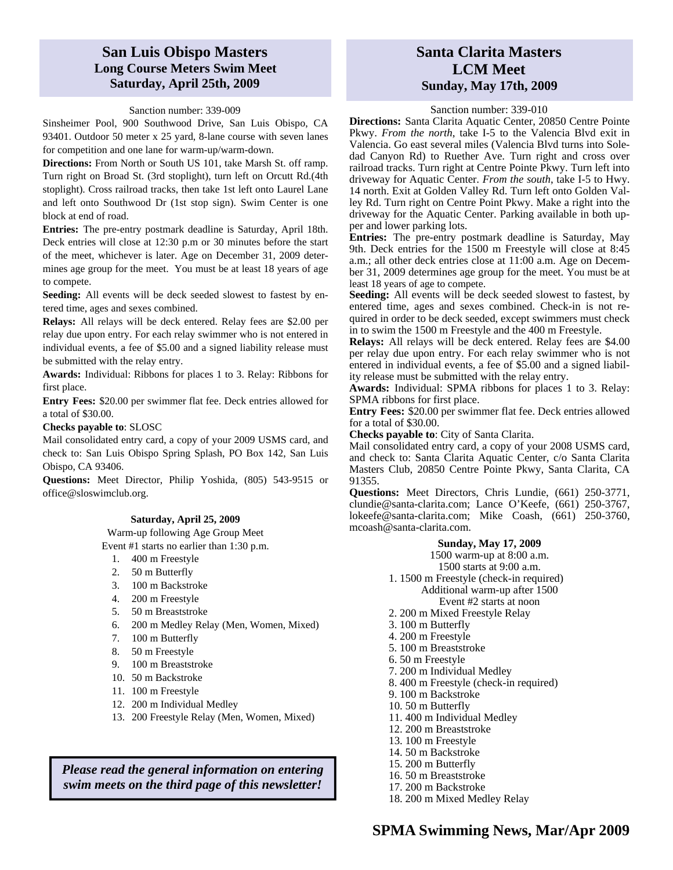## **San Luis Obispo Masters Long Course Meters Swim Meet Saturday, April 25th, 2009**

#### Sanction number: 339-009

Sinsheimer Pool, 900 Southwood Drive, San Luis Obispo, CA 93401. Outdoor 50 meter x 25 yard, 8-lane course with seven lanes for competition and one lane for warm-up/warm-down.

**Directions:** From North or South US 101, take Marsh St. off ramp. Turn right on Broad St. (3rd stoplight), turn left on Orcutt Rd.(4th stoplight). Cross railroad tracks, then take 1st left onto Laurel Lane and left onto Southwood Dr (1st stop sign). Swim Center is one block at end of road.

**Entries:** The pre-entry postmark deadline is Saturday, April 18th. Deck entries will close at 12:30 p.m or 30 minutes before the start of the meet, whichever is later. Age on December 31, 2009 determines age group for the meet. You must be at least 18 years of age to compete.

**Seeding:** All events will be deck seeded slowest to fastest by entered time, ages and sexes combined.

**Relays:** All relays will be deck entered. Relay fees are \$2.00 per relay due upon entry. For each relay swimmer who is not entered in individual events, a fee of \$5.00 and a signed liability release must be submitted with the relay entry.

**Awards:** Individual: Ribbons for places 1 to 3. Relay: Ribbons for first place.

**Entry Fees:** \$20.00 per swimmer flat fee. Deck entries allowed for a total of \$30.00.

#### **Checks payable to**: SLOSC

Mail consolidated entry card, a copy of your 2009 USMS card, and check to: San Luis Obispo Spring Splash, PO Box 142, San Luis Obispo, CA 93406.

**Questions:** Meet Director, Philip Yoshida, (805) 543-9515 or office@sloswimclub.org.

#### **Saturday, April 25, 2009**

Warm-up following Age Group Meet Event #1 starts no earlier than 1:30 p.m.

- 1. 400 m Freestyle
- 2. 50 m Butterfly
- 3. 100 m Backstroke
- 4. 200 m Freestyle
- 5. 50 m Breaststroke
- 6. 200 m Medley Relay (Men, Women, Mixed)
- 7. 100 m Butterfly
- 8. 50 m Freestyle
- 9. 100 m Breaststroke
- 10. 50 m Backstroke
- 11. 100 m Freestyle
- 12. 200 m Individual Medley
- 13. 200 Freestyle Relay (Men, Women, Mixed)

*Please read the general information on entering swim meets on the third page of this newsletter!* 

## **Santa Clarita Masters LCM Meet Sunday, May 17th, 2009**

#### Sanction number: 339-010

**Directions:** Santa Clarita Aquatic Center, 20850 Centre Pointe Pkwy. *From the north*, take I-5 to the Valencia Blvd exit in Valencia. Go east several miles (Valencia Blvd turns into Soledad Canyon Rd) to Ruether Ave. Turn right and cross over railroad tracks. Turn right at Centre Pointe Pkwy. Turn left into driveway for Aquatic Center. *From the south*, take I-5 to Hwy. 14 north. Exit at Golden Valley Rd. Turn left onto Golden Valley Rd. Turn right on Centre Point Pkwy. Make a right into the driveway for the Aquatic Center. Parking available in both upper and lower parking lots.

**Entries:** The pre-entry postmark deadline is Saturday, May 9th. Deck entries for the 1500 m Freestyle will close at 8:45 a.m.; all other deck entries close at 11:00 a.m. Age on December 31, 2009 determines age group for the meet. You must be at least 18 years of age to compete.

Seeding: All events will be deck seeded slowest to fastest, by entered time, ages and sexes combined. Check-in is not required in order to be deck seeded, except swimmers must check in to swim the 1500 m Freestyle and the 400 m Freestyle.

**Relays:** All relays will be deck entered. Relay fees are \$4.00 per relay due upon entry. For each relay swimmer who is not entered in individual events, a fee of \$5.00 and a signed liability release must be submitted with the relay entry.

**Awards:** Individual: SPMA ribbons for places 1 to 3. Relay: SPMA ribbons for first place.

**Entry Fees:** \$20.00 per swimmer flat fee. Deck entries allowed for a total of \$30.00.

**Checks payable to**: City of Santa Clarita.

Mail consolidated entry card, a copy of your 2008 USMS card, and check to: Santa Clarita Aquatic Center, c/o Santa Clarita Masters Club, 20850 Centre Pointe Pkwy, Santa Clarita, CA 91355.

**Questions:** Meet Directors, Chris Lundie, (661) 250-3771, clundie@santa-clarita.com; Lance O'Keefe, (661) 250-3767, lokeefe@santa-clarita.com; Mike Coash, (661) 250-3760, mcoash@santa-clarita.com.

### **Sunday, May 17, 2009**

1500 warm-up at 8:00 a.m. 1500 starts at 9:00 a.m. 1. 1500 m Freestyle (check-in required) Additional warm-up after 1500 Event #2 starts at noon 2. 200 m Mixed Freestyle Relay 3. 100 m Butterfly 4. 200 m Freestyle 5. 100 m Breaststroke 6. 50 m Freestyle 7. 200 m Individual Medley 8. 400 m Freestyle (check-in required) 9. 100 m Backstroke 10. 50 m Butterfly 11. 400 m Individual Medley 12. 200 m Breaststroke 13. 100 m Freestyle 14. 50 m Backstroke 15. 200 m Butterfly 16. 50 m Breaststroke 17. 200 m Backstroke

18. 200 m Mixed Medley Relay